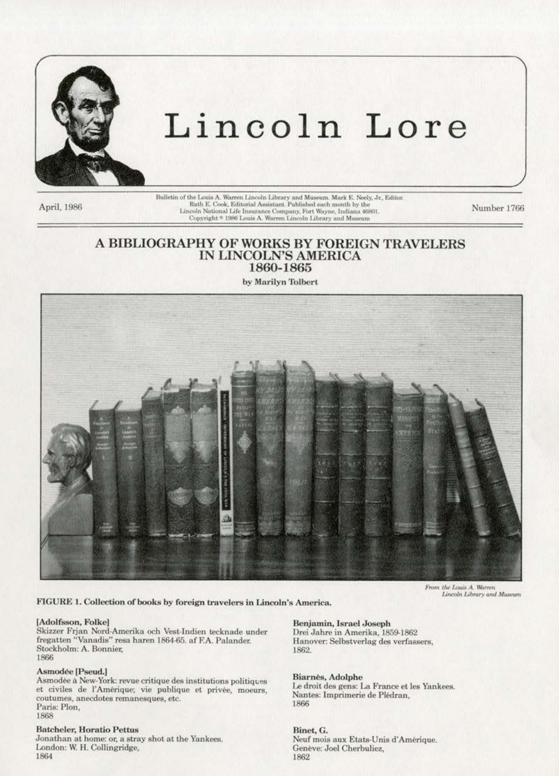

# Lincoln Lore

April, 1986

Bulletin of the Louis A. Warren Lincoln Library and Museum. Mark E. Neely, Jr., Editor. Ruth E. Cook, Editorial Assistant. Published each month by the Lincoln National Life Insurance Company, Fort Wayne, Indiana 46801<br>Copyright \* 1986 Louis A. Warren Lincoln Library and Museum

Number 1766

# A BIBLIOGRAPHY OF WORKS BY FOREIGN TRAVELERS IN LINCOLN'S AMERICA 1860-1865

by Marilyn Tolbert



From the Louis A. Warren<br>Lincoln Library and Museum

FIGURE 1. Collection of books by foreign travelers in Lincoln's America.

#### [Adolfsson, Folke]

Skizzer Frjan Nord-Amerika och Vest-Indien tecknade under fregatten "Vanadis" resa haren 1864-65. af F.A. Palander. Stockholm: A. Bonnier, 1866

## Asmodée [Pseud.]

Asmodée à New-York: revue critique des institutions politiques et civiles de l'Amérique; vie publique et privée, moeurs, coutumes, anecdotes remanesques, etc. Paris: Plon. 1868

#### **Batcheler, Horatio Pettus**

Jonathan at home: or, a stray shot at the Yankees. London: W. H. Collingridge, 1864

# Benjamin, Israel Joseph

Drei Jahre in Amerika, 1859-1862 Hanover: Selbstverlag des verfassers, 1862.

# Biarnès, Adolphe

Le droit des gens: La France et les Yankees. Nantes: Imprimerie de Plédran, 1866

Binet, G. Neuf mois aux Etats-Unis d'Amérique. Genève: Joel Cherbuliez. 1862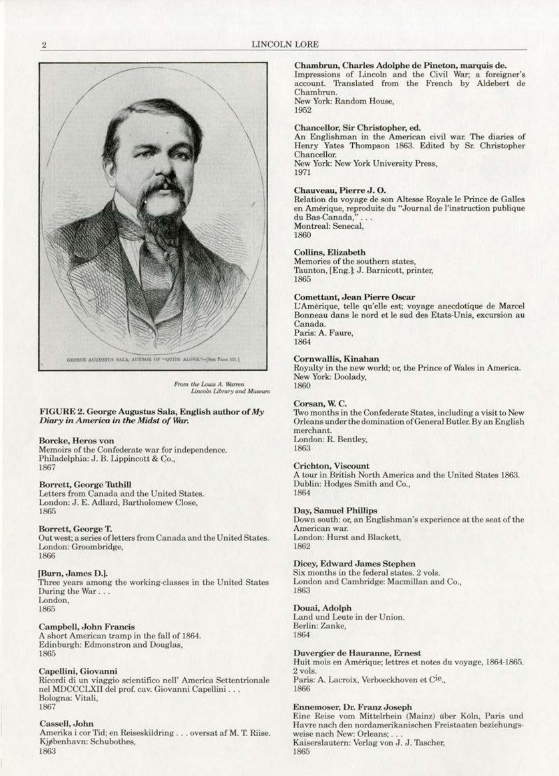

From the Louis A. Warren Lincoln Library and Museum

#### FIGURE 2. George Augustus Sala, English author of My Diary in America in the Midst of War.

#### Borcke, Heros von

Memoirs of the Confederate war for independence. Philadelphia: J. B. Lippincott & Co., 1867

## Borrett, George Tuthill

Letters from Canada and the United States. London: J. E. Adlard, Bartholomew Close, 1865

## Borrett, George T.

Out west; a series of letters from Canada and the United States. London: Groombridge, 1866

#### [Burn, James D.].

Three years among the working-classes in the United States During the War... London, 1865

#### Campbell, John Francis

A short American tramp in the fall of 1864. Edinburgh: Edmonstron and Douglas, 1865

#### Capellini, Giovanni

Ricordi di un viaggio scientifico nell' America Settentrionale nel MDCCCLXII del prof. cav. Giovanni Capellini... Bologna: Vitali, 1867

#### Cassell, John

Amerika i cor Tid; en Reiseskildring . . . oversat af M. T. Riise. Kjøbenhavn: Schubothes, 1863

# Chambrun, Charles Adolphe de Pineton, marquis de.

Impressions of Lincoln and the Civil War; a foreigner's account. Translated from the French by Aldebert de Chambrun

New York: Random House. 1952

# Chancellor, Sir Christopher, ed.

An Englishman in the American civil war. The diaries of Henry Yates Thompson 1863. Edited by Sr. Christopher Chancellor. New York: New York University Press, 1971

Chauveau, Pierre J.O.

Relation du voyage de son Altesse Royale le Prince de Galles en Amérique, reproduite du "Journal de l'instruction publique du Bas-Canada, Montreal: Senecal,

1860

#### Collins, Elizabeth

Memories of the southern states, Taunton, [Eng.]: J. Barnicott, printer, 1865

#### **Comettant, Jean Pierre Oscar**

L'Amérique, telle qu'elle est; voyage anecdotique de Marcel Bonneau dans le nord et le sud des Etats-Unis, excursion au Canada. Paris: A. Faure,

1864

#### Cornwallis, Kinahan

Royalty in the new world; or, the Prince of Wales in America. New York: Doolady, 1860

#### Corsan, W.C.

Two months in the Confederate States, including a visit to New Orleans under the domination of General Butler. By an English merchant. London: R. Bentley, 1863

#### Crichton, Viscount

A tour in British North America and the United States 1863. Dublin: Hodges Smith and Co., 1864

# Day, Samuel Phillips

Down south: or, an Englishman's experience at the seat of the American war. London: Hurst and Blackett, 1862

#### Dicey, Edward James Stephen

Six months in the federal states, 2 vols. London and Cambridge: Macmillan and Co., 1863

#### Douai, Adolph

Land und Leute in der Union. Berlin: Zanke, 1864

#### Duvergier de Hauranne, Ernest

Huit mois en Amérique; lettres et notes du voyage, 1864-1865. 2 vols. Paris: A. Lacroix, Verboeckhoven et Cie., 1866

# Ennemoser, Dr. Franz Joseph

Eine Reise vom Mittelrhein (Mainz) über Köln, Paris und Havre nach den nordamerikanischen Freistaaten beziehungsweise nach New: Orleans; . Kaiserslautern: Verlag von J. J. Tascher, 1865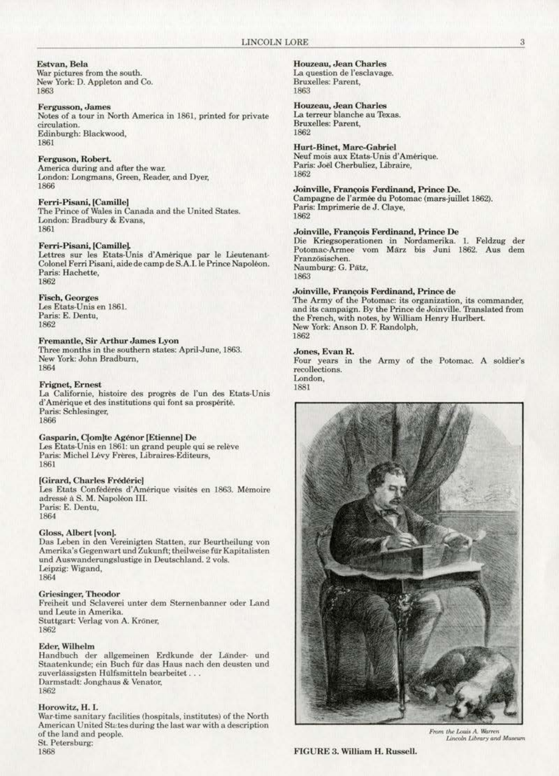Estvan, Bela War pictures from the south. New York: D. Appleton and Co. 1863

#### **Fergusson**, James

Notes of a tour in North America in 1861, printed for private circulation. Edinburgh: Blackwood, 1861

#### Ferguson, Robert.

America during and after the war. London: Longmans, Green, Reader, and Dyer, 1866

# Ferri-Pisani, [Camille]

The Prince of Wales in Canada and the United States. London: Bradbury & Evans, 1861

#### Ferri-Pisani, [Camille].

Lettres sur les Etats-Unis d'Amérique par le Lieutenant-Colonel Ferri Pisani, aide de camp de S.A.I. le Prince Napoléon. Paris: Hachette, 1862

#### **Fisch, Georges**

Les Etats-Unis en 1861. Paris: E. Dentu, 1862

#### Fremantle, Sir Arthur James Lyon

Three months in the southern states: April-June, 1863. New York: John Bradburn, 1864

#### **Frignet, Ernest**

La Californie, histoire des progrès de l'un des Etats-Unis d'Amérique et des institutions qui font sa prospérité. Paris: Schlesinger, 1866

#### Gasparin, Clom]te Agénor [Etienne] De

Les Etats-Unis en 1861: un grand peuple qui se relève Paris: Michel Lévy Frères, Libraires-Editeurs, 1861

#### [Girard, Charles Frédéric]

Les Etats Confédérés d'Amérique visités en 1863. Mémoire adressé à S. M. Napoléon III. Paris: E. Dentu, 1864

#### Gloss, Albert [von].

Das Leben in den Vereinigten Statten, zur Beurtheilung von Amerika's Gegenwart und Zukunft; theilweise für Kapitalisten und Auswanderungslustige in Deutschland. 2 vols. Leipzig: Wigand, 1864

# **Griesinger**, Theodor

Freiheit und Sclaverei unter dem Sternenbanner oder Land und Leute in Amerika. Stuttgart: Verlag von A. Kröner, 1862

#### Eder, Wilhelm

Handbuch der allgemeinen Erdkunde der Länder- und Staatenkunde; ein Buch für das Haus nach den deusten und zuverlässigsten Hülfsmitteln bearbeitet... Darmstadt: Jonghaus & Venator, 1862

# Horowitz, H. I.

1868

War-time sanitary facilities (hospitals, institutes) of the North American United States during the last war with a description of the land and people. St. Petersburg:

# Houzeau, Jean Charles

La question de l'esclavage. Bruxelles: Parent, 1863

#### Houzeau, Jean Charles

La terreur blanche au Texas. Bruxelles: Parent, 1862

#### Hurt-Binet, Marc-Gabriel

Neuf mois aux Etats-Unis d'Amérique. Paris: Joël Cherbuliez, Libraire, 1862

# Joinville, Francois Ferdinand, Prince De.

Campagne de l'armée du Potomac (mars-juillet 1862). Paris: Imprimerie de J. Clave. 1862

#### Joinville, François Ferdinand, Prince De

Die Kriegsoperationen in Nordamerika. 1. Feldzug der Potomac-Armee vom März bis Juni 1862. Aus dem Französischen. Naumburg: G. Pätz, 1863

#### Joinville, François Ferdinand, Prince de

The Army of the Potomac: its organization, its commander, and its campaign. By the Prince de Joinville. Translated from the French, with notes, by William Henry Hurlbert. New York: Anson D. F. Randolph, 1862

#### Jones, Evan R.

Four years in the Army of the Potomac. A soldier's recollections. London,

#### 1881



From the Louis A. Warren Lincoln Library and Museum

FIGURE 3. William H. Russell.